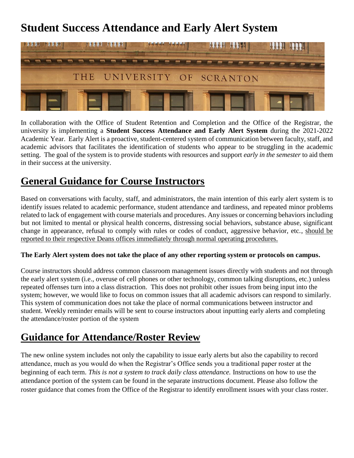# **Student Success Attendance and Early Alert System**



In collaboration with the Office of Student Retention and Completion and the Office of the Registrar, the university is implementing a **Student Success Attendance and Early Alert System** during the 2021-2022 Academic Year. Early Alert is a proactive, student-centered system of communication between faculty, staff, and academic advisors that facilitates the identification of students who appear to be struggling in the academic setting. The goal of the system is to provide students with resources and support *early in the semester* to aid them in their success at the university.

# **General Guidance for Course Instructors**

Based on conversations with faculty, staff, and administrators, the main intention of this early alert system is to identify issues related to academic performance, student attendance and tardiness, and repeated minor problems related to lack of engagement with course materials and procedures. Any issues or concerning behaviors including but not limited to mental or physical health concerns, distressing social behaviors, substance abuse, significant change in appearance, refusal to comply with rules or codes of conduct, aggressive behavior, etc., should be reported to their respective Deans offices immediately through normal operating procedures.

#### **The Early Alert system does not take the place of any other reporting system or protocols on campus.**

Course instructors should address common classroom management issues directly with students and not through the early alert system (i.e., overuse of cell phones or other technology, common talking disruptions, etc.) unless repeated offenses turn into a class distraction. This does not prohibit other issues from being input into the system; however, we would like to focus on common issues that all academic advisors can respond to similarly. This system of communication does not take the place of normal communications between instructor and student. Weekly reminder emails will be sent to course instructors about inputting early alerts and completing the attendance/roster portion of the system

## **Guidance for Attendance/Roster Review**

The new online system includes not only the capability to issue early alerts but also the capability to record attendance, much as you would do when the Registrar's Office sends you a traditional paper roster at the beginning of each term. *This is not a system to track daily class attendance.* Instructions on how to use the attendance portion of the system can be found in the separate instructions document. Please also follow the roster guidance that comes from the Office of the Registrar to identify enrollment issues with your class roster.